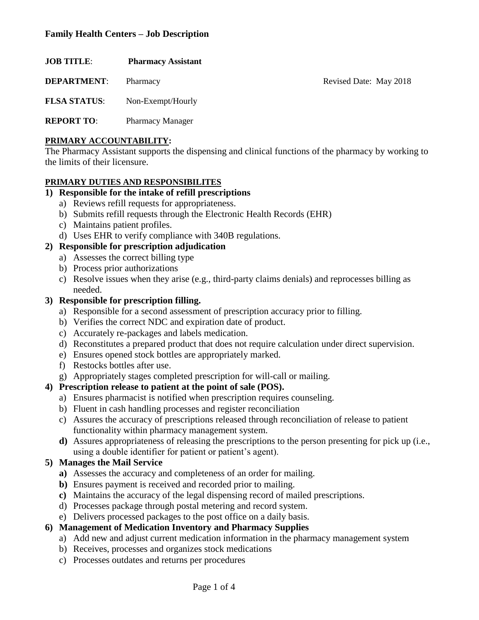| <b>JOB TITLE:</b>   | <b>Pharmacy Assistant</b> |                        |
|---------------------|---------------------------|------------------------|
| <b>DEPARTMENT:</b>  | Pharmacy                  | Revised Date: May 2018 |
| <b>FLSA STATUS:</b> | Non-Exempt/Hourly         |                        |
| <b>REPORT TO:</b>   | <b>Pharmacy Manager</b>   |                        |

#### **PRIMARY ACCOUNTABILITY:**

The Pharmacy Assistant supports the dispensing and clinical functions of the pharmacy by working to the limits of their licensure.

#### **PRIMARY DUTIES AND RESPONSIBILITES**

#### **1) Responsible for the intake of refill prescriptions**

- a) Reviews refill requests for appropriateness.
- b) Submits refill requests through the Electronic Health Records (EHR)
- c) Maintains patient profiles.
- d) Uses EHR to verify compliance with 340B regulations.

## **2) Responsible for prescription adjudication**

- a) Assesses the correct billing type
- b) Process prior authorizations
- c) Resolve issues when they arise (e.g., third-party claims denials) and reprocesses billing as needed.

## **3) Responsible for prescription filling.**

- a) Responsible for a second assessment of prescription accuracy prior to filling.
- b) Verifies the correct NDC and expiration date of product.
- c) Accurately re-packages and labels medication.
- d) Reconstitutes a prepared product that does not require calculation under direct supervision.
- e) Ensures opened stock bottles are appropriately marked.
- f) Restocks bottles after use.
- g) Appropriately stages completed prescription for will-call or mailing.

# **4) Prescription release to patient at the point of sale (POS).**

- a) Ensures pharmacist is notified when prescription requires counseling.
- b) Fluent in cash handling processes and register reconciliation
- c) Assures the accuracy of prescriptions released through reconciliation of release to patient functionality within pharmacy management system.
- **d)** Assures appropriateness of releasing the prescriptions to the person presenting for pick up (i.e., using a double identifier for patient or patient's agent).

#### **5) Manages the Mail Service**

- **a)** Assesses the accuracy and completeness of an order for mailing.
- **b)** Ensures payment is received and recorded prior to mailing.
- **c)** Maintains the accuracy of the legal dispensing record of mailed prescriptions.
- d) Processes package through postal metering and record system.
- e) Delivers processed packages to the post office on a daily basis.

# **6) Management of Medication Inventory and Pharmacy Supplies**

- a) Add new and adjust current medication information in the pharmacy management system
- b) Receives, processes and organizes stock medications
- c) Processes outdates and returns per procedures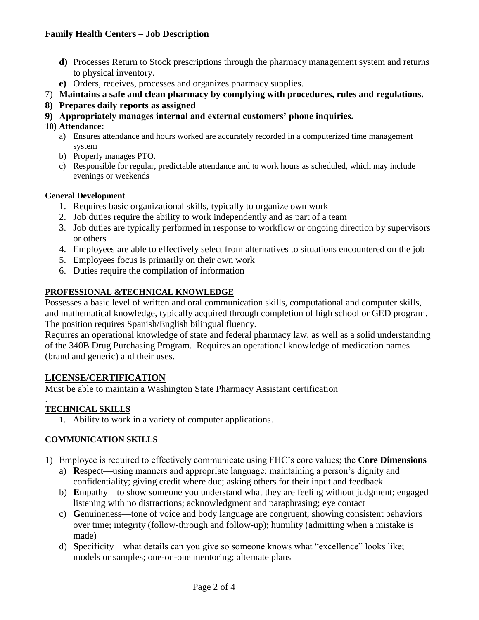- **d)** Processes Return to Stock prescriptions through the pharmacy management system and returns to physical inventory.
- **e)** Orders, receives, processes and organizes pharmacy supplies.
- 7) **Maintains a safe and clean pharmacy by complying with procedures, rules and regulations.**
- **8) Prepares daily reports as assigned**
- **9) Appropriately manages internal and external customers' phone inquiries.**

## **10) Attendance:**

- a) Ensures attendance and hours worked are accurately recorded in a computerized time management system
- b) Properly manages PTO.
- c) Responsible for regular, predictable attendance and to work hours as scheduled, which may include evenings or weekends

### **General Development**

- 1. Requires basic organizational skills, typically to organize own work
- 2. Job duties require the ability to work independently and as part of a team
- 3. Job duties are typically performed in response to workflow or ongoing direction by supervisors or others
- 4. Employees are able to effectively select from alternatives to situations encountered on the job
- 5. Employees focus is primarily on their own work
- 6. Duties require the compilation of information

## **PROFESSIONAL &TECHNICAL KNOWLEDGE**

Possesses a basic level of written and oral communication skills, computational and computer skills, and mathematical knowledge, typically acquired through completion of high school or GED program. The position requires Spanish/English bilingual fluency.

Requires an operational knowledge of state and federal pharmacy law, as well as a solid understanding of the 340B Drug Purchasing Program. Requires an operational knowledge of medication names (brand and generic) and their uses.

# **LICENSE/CERTIFICATION**

Must be able to maintain a Washington State Pharmacy Assistant certification

# **TECHNICAL SKILLS**

.

1. Ability to work in a variety of computer applications.

#### **COMMUNICATION SKILLS**

- 1) Employee is required to effectively communicate using FHC's core values; the **Core Dimensions**
	- a) **R**espect—using manners and appropriate language; maintaining a person's dignity and confidentiality; giving credit where due; asking others for their input and feedback
	- b) **E**mpathy—to show someone you understand what they are feeling without judgment; engaged listening with no distractions; acknowledgment and paraphrasing; eye contact
	- c) **G**enuineness—tone of voice and body language are congruent; showing consistent behaviors over time; integrity (follow-through and follow-up); humility (admitting when a mistake is made)
	- d) **S**pecificity—what details can you give so someone knows what "excellence" looks like; models or samples; one-on-one mentoring; alternate plans